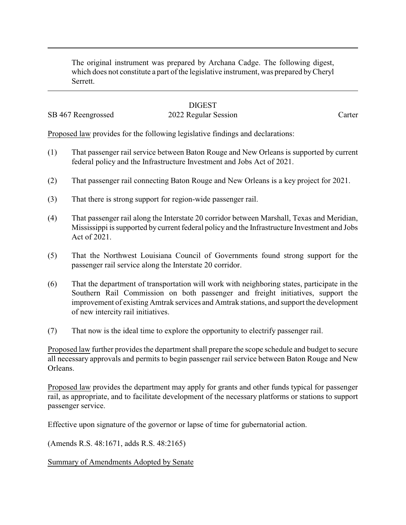The original instrument was prepared by Archana Cadge. The following digest, which does not constitute a part of the legislative instrument, was prepared byCheryl Serrett.

## **DIGEST**

## SB 467 Reengrossed 2022 Regular Session Carter

Proposed law provides for the following legislative findings and declarations:

- (1) That passenger rail service between Baton Rouge and New Orleans is supported by current federal policy and the Infrastructure Investment and Jobs Act of 2021.
- (2) That passenger rail connecting Baton Rouge and New Orleans is a key project for 2021.
- (3) That there is strong support for region-wide passenger rail.
- (4) That passenger rail along the Interstate 20 corridor between Marshall, Texas and Meridian, Mississippi is supported by current federal policy and the Infrastructure Investment and Jobs Act of 2021.
- (5) That the Northwest Louisiana Council of Governments found strong support for the passenger rail service along the Interstate 20 corridor.
- (6) That the department of transportation will work with neighboring states, participate in the Southern Rail Commission on both passenger and freight initiatives, support the improvement of existing Amtrak services and Amtrak stations, and support the development of new intercity rail initiatives.
- (7) That now is the ideal time to explore the opportunity to electrify passenger rail.

Proposed law further provides the department shall prepare the scope schedule and budget to secure all necessary approvals and permits to begin passenger rail service between Baton Rouge and New Orleans.

Proposed law provides the department may apply for grants and other funds typical for passenger rail, as appropriate, and to facilitate development of the necessary platforms or stations to support passenger service.

Effective upon signature of the governor or lapse of time for gubernatorial action.

(Amends R.S. 48:1671, adds R.S. 48:2165)

Summary of Amendments Adopted by Senate